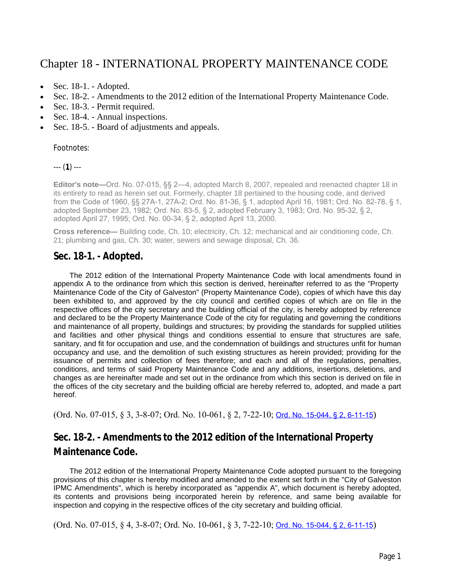# [Chapter 18 - INTERNATIONAL PROPERTY MAINTENANCE CODE](https://www.municode.com/library/tx/galveston/codes/code_of_ordinances?searchRequest=%7B%22searchText%22%3A%22property%20maintenance%20codes%22%2C%22pageNum%22%3A1%2C%22resultsPerPage%22%3A25%2C%22booleanSearch%22%3Afalse%2C%22stemming%22%3Atrue%2C%22fuzzy%22%3Afalse%2C%22synonym%22%3Afalse%2C%22contentTypes%22%3A%5B%22CODES%22%5D%2C%22productIds%22%3A%5B%5D%7D&nodeId=PTIICOCI_CH18INPRMACO)

- $\bullet$  [Sec. 18-1. Adopted.](https://www.municode.com/library/tx/galveston/codes/code_of_ordinances?searchRequest=%7B%22searchText%22%3A%22property%20maintenance%20codes%22%2C%22pageNum%22%3A1%2C%22resultsPerPage%22%3A25%2C%22booleanSearch%22%3Afalse%2C%22stemming%22%3Atrue%2C%22fuzzy%22%3Afalse%2C%22synonym%22%3Afalse%2C%22contentTypes%22%3A%5B%22CODES%22%5D%2C%22productIds%22%3A%5B%5D%7D&nodeId=PTIICOCI_CH18INPRMACO_S18-1AD)
- [Sec. 18-2. Amendments to the 2012 edition of the International Property Maintenance Code.](https://www.municode.com/library/tx/galveston/codes/code_of_ordinances?searchRequest=%7B%22searchText%22%3A%22property%20maintenance%20codes%22%2C%22pageNum%22%3A1%2C%22resultsPerPage%22%3A25%2C%22booleanSearch%22%3Afalse%2C%22stemming%22%3Atrue%2C%22fuzzy%22%3Afalse%2C%22synonym%22%3Afalse%2C%22contentTypes%22%3A%5B%22CODES%22%5D%2C%22productIds%22%3A%5B%5D%7D&nodeId=PTIICOCI_CH18INPRMACO_S18-2AM2012EDINPRMACO)
- [Sec. 18-3. Permit required.](https://www.municode.com/library/tx/galveston/codes/code_of_ordinances?searchRequest=%7B%22searchText%22%3A%22property%20maintenance%20codes%22%2C%22pageNum%22%3A1%2C%22resultsPerPage%22%3A25%2C%22booleanSearch%22%3Afalse%2C%22stemming%22%3Atrue%2C%22fuzzy%22%3Afalse%2C%22synonym%22%3Afalse%2C%22contentTypes%22%3A%5B%22CODES%22%5D%2C%22productIds%22%3A%5B%5D%7D&nodeId=PTIICOCI_CH18INPRMACO_S18-3PERE)
- [Sec. 18-4. Annual inspections.](https://www.municode.com/library/tx/galveston/codes/code_of_ordinances?searchRequest=%7B%22searchText%22%3A%22property%20maintenance%20codes%22%2C%22pageNum%22%3A1%2C%22resultsPerPage%22%3A25%2C%22booleanSearch%22%3Afalse%2C%22stemming%22%3Atrue%2C%22fuzzy%22%3Afalse%2C%22synonym%22%3Afalse%2C%22contentTypes%22%3A%5B%22CODES%22%5D%2C%22productIds%22%3A%5B%5D%7D&nodeId=PTIICOCI_CH18INPRMACO_S18-4ANIN)
- [Sec. 18-5. Board of adjustments and appeals.](https://www.municode.com/library/tx/galveston/codes/code_of_ordinances?searchRequest=%7B%22searchText%22%3A%22property%20maintenance%20codes%22%2C%22pageNum%22%3A1%2C%22resultsPerPage%22%3A25%2C%22booleanSearch%22%3Afalse%2C%22stemming%22%3Atrue%2C%22fuzzy%22%3Afalse%2C%22synonym%22%3Afalse%2C%22contentTypes%22%3A%5B%22CODES%22%5D%2C%22productIds%22%3A%5B%5D%7D&nodeId=PTIICOCI_CH18INPRMACO_S18-5BOADAP)

Footnotes:

--- (**1**) ---

**Editor's note—**Ord. No. 07-015, §§ 2—4, adopted March 8, 2007, repealed and reenacted chapter 18 in its entirety to read as herein set out. Formerly, chapter 18 pertained to the housing code, and derived from the Code of 1960, §§ 27A-1, 27A-2; Ord. No. 81-36, § 1, adopted April 16, 1981; Ord. No. 82-78, § 1, adopted September 23, 1982; Ord. No. 83-5, § 2, adopted February 3, 1983; Ord. No. 95-32, § 2, adopted April 27, 1995; Ord. No. 00-34, § 2, adopted April 13, 2000.

**Cross reference—** Building code, Ch. 10; electricity, Ch. 12; mechanical and air conditioning code, Ch. 21; plumbing and gas, Ch. 30; water, sewers and sewage disposal, Ch. 36.

## **Sec. 18-1. - Adopted.**

The 2012 edition of the International Property Maintenance Code with local amendments found in appendix A to the ordinance from which this section is derived, hereinafter referred to as the "Property Maintenance Code of the City of Galveston" (Property Maintenance Code), copies of which have this day been exhibited to, and approved by the city council and certified copies of which are on file in the respective offices of the city secretary and the building official of the city, is hereby adopted by reference and declared to be the Property Maintenance Code of the city for regulating and governing the conditions and maintenance of all property, buildings and structures; by providing the standards for supplied utilities and facilities and other physical things and conditions essential to ensure that structures are safe, sanitary, and fit for occupation and use, and the condemnation of buildings and structures unfit for human occupancy and use, and the demolition of such existing structures as herein provided; providing for the issuance of permits and collection of fees therefore; and each and all of the regulations, penalties, conditions, and terms of said Property Maintenance Code and any additions, insertions, deletions, and changes as are hereinafter made and set out in the ordinance from which this section is derived on file in the offices of the city secretary and the building official are hereby referred to, adopted, and made a part hereof.

(Ord. No. 07-015, § 3, 3-8-07; Ord. No. 10-061, § 2, 7-22-10; [Ord. No. 15-044, § 2, 6-11-15](http://newords.municode.com/readordinance.aspx?ordinanceid=717941&datasource=ordbank))

# **Sec. 18-2. - Amendments to the 2012 edition of the International Property Maintenance Code.**

The 2012 edition of the International Property Maintenance Code adopted pursuant to the foregoing provisions of this chapter is hereby modified and amended to the extent set forth in the "City of Galveston IPMC Amendments", which is hereby incorporated as "appendix A", which document is hereby adopted, its contents and provisions being incorporated herein by reference, and same being available for inspection and copying in the respective offices of the city secretary and building official.

(Ord. No. 07-015, § 4, 3-8-07; Ord. No. 10-061, § 3, 7-22-10; [Ord. No. 15-044, § 2, 6-11-15](http://newords.municode.com/readordinance.aspx?ordinanceid=717941&datasource=ordbank))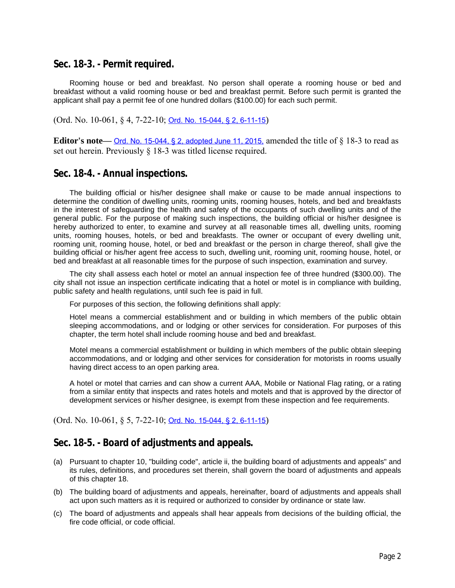#### **Sec. 18-3. - Permit required.**

Rooming house or bed and breakfast. No person shall operate a rooming house or bed and breakfast without a valid rooming house or bed and breakfast permit. Before such permit is granted the applicant shall pay a permit fee of one hundred dollars (\$100.00) for each such permit.

(Ord. No. 10-061, § 4, 7-22-10; [Ord. No. 15-044, § 2, 6-11-15](http://newords.municode.com/readordinance.aspx?ordinanceid=717941&datasource=ordbank))

**Editor's note—** [Ord. No. 15-044, § 2, adopted June 11, 2015,](http://newords.municode.com/readordinance.aspx?ordinanceid=717941&datasource=ordbank) amended the title of § 18-3 to read as set out herein. Previously § 18-3 was titled license required.

#### **Sec. 18-4. - Annual inspections.**

The building official or his/her designee shall make or cause to be made annual inspections to determine the condition of dwelling units, rooming units, rooming houses, hotels, and bed and breakfasts in the interest of safeguarding the health and safety of the occupants of such dwelling units and of the general public. For the purpose of making such inspections, the building official or his/her designee is hereby authorized to enter, to examine and survey at all reasonable times all, dwelling units, rooming units, rooming houses, hotels, or bed and breakfasts. The owner or occupant of every dwelling unit, rooming unit, rooming house, hotel, or bed and breakfast or the person in charge thereof, shall give the building official or his/her agent free access to such, dwelling unit, rooming unit, rooming house, hotel, or bed and breakfast at all reasonable times for the purpose of such inspection, examination and survey.

The city shall assess each hotel or motel an annual inspection fee of three hundred (\$300.00). The city shall not issue an inspection certificate indicating that a hotel or motel is in compliance with building, public safety and health regulations, until such fee is paid in full.

For purposes of this section, the following definitions shall apply:

Hotel means a commercial establishment and or building in which members of the public obtain sleeping accommodations, and or lodging or other services for consideration. For purposes of this chapter, the term hotel shall include rooming house and bed and breakfast.

Motel means a commercial establishment or building in which members of the public obtain sleeping accommodations, and or lodging and other services for consideration for motorists in rooms usually having direct access to an open parking area.

A hotel or motel that carries and can show a current AAA, Mobile or National Flag rating, or a rating from a similar entity that inspects and rates hotels and motels and that is approved by the director of development services or his/her designee, is exempt from these inspection and fee requirements.

(Ord. No. 10-061, § 5, 7-22-10; [Ord. No. 15-044, § 2, 6-11-15](http://newords.municode.com/readordinance.aspx?ordinanceid=717941&datasource=ordbank))

### **Sec. 18-5. - Board of adjustments and appeals.**

- (a) Pursuant to chapter 10, "building code", article ii, the building board of adjustments and appeals" and its rules, definitions, and procedures set therein, shall govern the board of adjustments and appeals of this chapter 18.
- (b) The building board of adjustments and appeals, hereinafter, board of adjustments and appeals shall act upon such matters as it is required or authorized to consider by ordinance or state law.
- (c) The board of adjustments and appeals shall hear appeals from decisions of the building official, the fire code official, or code official.